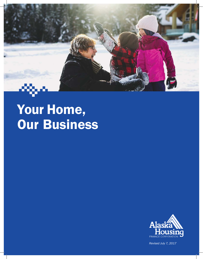

# Your Home, Our Business



*Revised July 7, 2017*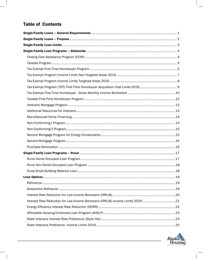# **Table of Contents**

| Interest Rate Reduction for Low-Income Borrowers (IRRLIB) Income Limits 2016 21 |  |
|---------------------------------------------------------------------------------|--|
|                                                                                 |  |
|                                                                                 |  |
|                                                                                 |  |
|                                                                                 |  |

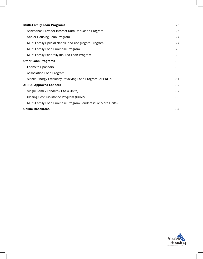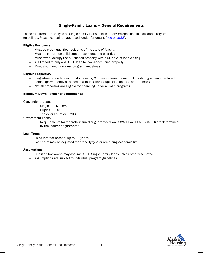# Single-Family Loans - General Requirements

<span id="page-3-0"></span>These requirements apply to all Single-Family loans unless otherwise specified in individual program guidelines. Please consult an approved lender for details (see page 32).

## Eligible Borrowers:

- − Must be credit-qualified residents of the state of Alaska.
- − Must be current on child support payments (no past due).
- − Must owner-occupy the purchased property within 60 days of loan closing.
- − Are limited to only one AHFC loan for owner-occupied property.
- − Must also meet individual program guidelines.

#### Eligible Properties:

- − Single-family residences, condominiums, Common Interest Community units, Type I manufactured homes (permanently attached to a foundation), duplexes, triplexes or fourplexes.
	- − Not all properties are eligible for financing under all loan programs.

#### Minimum Down Payment Requirements:

Conventional Loans:

- − Single-family 5%.
- − Duplex 10%.
- − Triplex or Fourplex 20%.

Government Loans:

− Requirements for federally insured or guaranteed loans (VA/FHA/HUD/USDA-RD) are determined by the insurer or guarantor.

#### Loan Term:

- − Fixed Interest Rate for up to 30 years.
- − Loan term may be adjusted for property type or remaining economic life.

#### Assumptions:

- − Qualified borrowers may assume AHFC Single-Family loans unless otherwise noted.
- − Assumptions are subject to individual program guidelines.

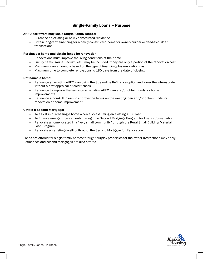# Single-Family Loans – Purpose

## <span id="page-4-0"></span>AHFC borrowers may use a Single-Family loan to:

- − Purchase an existing or newly-constructed residence.
- − Obtain long-term financing for a newly constructed home for owner/builder or deed-to-builder transactions.

## Purchase a home and obtain funds forrenovation:

- − Renovations must improve the living conditions of the home.
- − Luxury items (sauna, Jacuzzi, etc.) may be included if they are only a portion of the renovation cost.
- − Maximum loan amount is based on the type of financing plus renovation cost.
- − Maximum time to complete renovations is 180 days from the date of closing.

#### Refinance a home:

- − Refinance an existing AHFC loan using the Streamline Refinance option and lower the interest rate without a new appraisal or credit check.
- − Refinance to improve the terms on an existing AHFC loan and/or obtain funds for home improvements.
- Refinance a non-AHFC loan to improve the terms on the existing loan and/or obtain funds for renovation or home improvement.

## Obtain a Second Mortgage:

- − To assist in purchasing a home when also assuming an existing AHFC loan..
- − To finance energy improvements through the Second Mortgage Program for Energy Conservation.
- − Renovate a home located in a "very small community" through the Rural Small Building Material Loan Program.
- Renovate an existing dwelling through the Second Mortgage for Renovation.

Loans are offered for single-family homes through fourplex properties for the owner (restrictions may apply). Refinances and second mortgages are also offered.

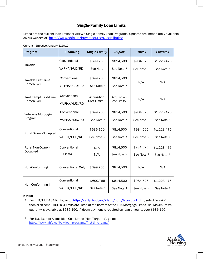# Single-Family Loan Limits

<span id="page-5-0"></span>Listed are the current loan limits for AHFC's Single-Family Loan Programs. Updates are immediately available on our website at http://www.ahfc.us/buy/resources/loan-limits/

| <b>Program</b>            | <b>Financing</b>                       | <b>Single-Family</b>     | <b>Duplex</b>            | <b>Triplex</b>        | <b>Fourplex</b> |  |
|---------------------------|----------------------------------------|--------------------------|--------------------------|-----------------------|-----------------|--|
| Taxable                   | Conventional                           | \$699,765                | \$814,500                | \$984,525             | \$1,223,475     |  |
|                           | VA FHA/HUD/RD                          | See Note <sup>1</sup>    | See Note 1               | See Note 1            | See Note 1      |  |
| <b>Taxable First-Time</b> | Conventional                           | \$699,765                | \$814,500                | N/A                   | N/A             |  |
| Homebuyer                 | VA FHA/HUD/RD                          | See Note 1               | See Note 1               |                       |                 |  |
| Tax-Exempt First-Time     | Conventional                           | Acquisition              | Acquisition              | N/A                   | N/A             |  |
| Homebuyer                 | VA FHA/HUD/RD                          | Cost Limits <sup>2</sup> | Cost Limits <sup>2</sup> |                       |                 |  |
| Veterans Mortgage         | Conventional                           | \$699,765                | \$814,500                | \$984,525             | \$1,223,475     |  |
| Program                   | VA FHA/HUD/RD                          | See Note 1               | See Note 1               | See Note 1            | See Note 1      |  |
| Rural Owner-Occupied      | Conventional<br>\$636,150<br>\$814,500 |                          |                          | \$984,525             | \$1,223,475     |  |
|                           | VA FHA/HUD/RD                          | See Note 1               | See Note 1               | See Note 1            | See Note 1      |  |
| <b>Rural Non-Owner-</b>   | Conventional                           | N/A                      | \$814,500                | \$984,525             | \$1,223,475     |  |
| Occupied                  | <b>HUD184</b>                          | N/A                      | See Note 1               | See Note <sup>1</sup> | See Note 1      |  |
| Non-Conforming I          | <b>Conventional Only</b>               | \$699,765                | \$814,500                | N/A                   | N/A             |  |
| Non-Conforming II         | Conventional                           | \$699,765                | \$814,500                | \$984,525             | \$1,223,475     |  |
|                           | VA FHA/HUD/RD                          | See Note 1               | See Note 1               | See Note 1            | See Note 1      |  |

Current (Effective January 1,2017)

#### Notes:

<sup>1</sup> For FHA/HUD184 limits, go to: https://entp.hud.gov/idapp/html/hicostlook.cfm, select "Alaska", then click send. HUD184 limits are listed at the bottom of the FHA Mortgage Limits list. Maximum VA guaran[ty is available at \\$636,150. A down-payment is required on loan amounts over \\$636,150](http://www.ahfc.us/files/2214/6669/9748/2016_TEP_Income_Limits_Effective_07-01-16.pdf).

<sup>2</sup> For Tax-Exempt Acquisition Cost Limits (Non-Targeted), go to: https://www.ahfc.us/buy/loan-programs/first-time-loans/

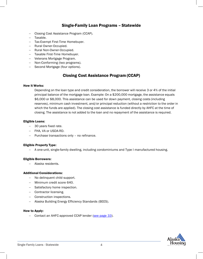# Single-Family Loan Programs – Statewide

- <span id="page-6-0"></span>− Closing Cost Assistance Program (CCAP).
- − Taxable.
- − Tax-Exempt First-Time Homebuyer.
- − Rural Owner-Occupied.
- − Rural Non-Owner-Occupied.
- − Taxable First-Time Homebuyer.
- − Veterans Mortgage Program.
- − Non-Conforming (two programs).
- − Second Mortgage (four options).

# Closing Cost Assistance Program (CCAP)

## <span id="page-6-1"></span>How it Works:

Depending on the loan type and credit consideration, the borrower will receive 3 or 4% of the initial principal balance of the mortgage loan. Example: On a \$200,000 mortgage, the assistance equals \$6,000 or \$8,000. This assistance can be used for down payment, closing costs (including reserves), minimum cash investment, and/or principal reduction (without a restriction to the order in which the funds are applied). The closing cost assistance is funded directly by AHFC at the time of closing. The assistance is not added to the loan and no repayment of the assistance is required.

#### Eligible Loans:

- − 30 years fixed rate.
- − FHA, VA or USDA-RD.
- − Purchase transactions only no refinance.

#### Eligible Property Type:

− A one-unit, single-family dwelling, including condominiums and Type I manufactured housing.

#### Eligible Borrowers:

− Alaska residents.

#### Additional Considerations:

- − No delinquent child support.
- − Minimum credit score 640.
- − Satisfactory home inspection.
- − Contractor licensing.
- − Construction inspections.
- − Alaska Building Energy Efficiency Standards (BEES).

#### How to Apply:

− Contact an AHFC-approved CCAP lender (see page 33).

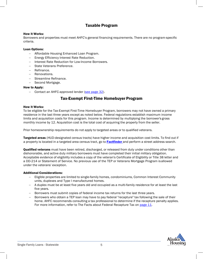# Taxable Program

## <span id="page-7-0"></span>How it Works:

Borrowers and properties must meet AHFC's general financing requirements. There are no program-specific criteria.

## Loan Options:

- − Affordable Housing Enhanced Loan Program.
- − Energy Efficiency Interest Rate Reduction.
- − Interest Rate Reduction for Low-Income Borrowers.
- − State Veterans Preference.
- − Refinance.
- − Renovations.
- − Streamline Refinance.
- − Second Mortgage.

## <span id="page-7-1"></span>How to Apply:

Contact an AHFC-approved lender (see page 32).

# Tax-Exempt First-Time Homebuyer Program

#### How it Works:

To be eligible for the Tax-Exempt First-Time Homebuyer Program, borrowers may not have owned a primary residence in the last three years except as noted below. Federal regulations establish maximum income limits and acquisition costs for this program. Income is determined by multiplying the borrower's gross monthly income by 12. Acquisition cost is the total cost of acquiring the property from the seller.

Prior homeownership requirements do not apply to targeted areas or to qualified veterans.

Targeted areas (HUD-designated census tracts) have higher income and acquisition cost limits. To find out if a property is located in a targeted area census tract, go to **Factfinder** and perform a street address search.

Qualified veterans must have been retired, discharged, or released from duty under conditions other than dishonorable, and active duty military borrowers must have completed their initial military obligation. Acceptable evidence of eligibility includes a copy of the veteran's Certificate of Eligibility or Title 38 letter and a DD-214 or Statement of Service. No previous use of the TEP or Veterans Mortgage Program isallowed under the veterans' exception.

#### Additional Considerations:

- − Eligible properties are limited to single-family homes, condominiums, Common Interest Community units, duplexes and Type I manufactured homes.
- − A duplex must be at least five years old and occupied as a multi-family residence for at least the last five years.
- − Borrowers must submit copies of federal income tax returns for the last three years.
- − Borrowers who obtain a TEP loan may have to pay federal "recapture" tax following the sale of their home. AHFC recommends consulting a tax professional to determine if the recapture penalty applies. For more information, refer to The Facts about Federal Recapture Tax on page 11.

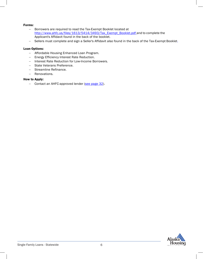## Forms:

- − Borrowers are required to read the Tax-Exempt Booklet located at [http://www.ahfc.us/files/1613/5414/3493/Tax\\_Exempt\\_Booklet.pdf](http://www.ahfc.us/files/1613/5414/3493/Tax_Exempt_Booklet.pdf) and to complete the Applicant's Affidavit found in the back of the booklet.
- − Sellers must complete and sign a Seller's Affidavit also found in the back of the Tax-Exempt Booklet.

#### Loan Options:

- − Affordable Housing Enhanced Loan Program.
- − Energy Efficiency Interest Rate Reduction.
- − Interest Rate Reduction for Low-Income Borrowers.
- − State Veterans Preference.
- − Streamline Refinance.
- − Renovations.

#### How to Apply:

− Contact an AHFC-approved lender (see page 32).

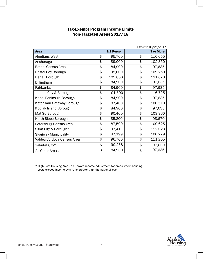# Tax-Exempt Program Income Limits Non-Targeted Areas 2017/18

| Effective 06/21/2017        |    |            |    |           |  |
|-----------------------------|----|------------|----|-----------|--|
| Area                        |    | 1-2 Person |    | 3 or More |  |
| <b>Aleutians West</b>       | \$ | 95,700     | \$ | 110,055   |  |
| Anchorage                   | \$ | 89,000     | \$ | 102,350   |  |
| <b>Bethel Census Area</b>   | \$ | 84,900     | \$ | 97,635    |  |
| <b>Bristol Bay Borough</b>  | \$ | 95,000     | \$ | 109,250   |  |
| Denali Borough              | \$ | 105,800    | \$ | 121,670   |  |
| Dillingham                  | \$ | 84,900     | \$ | 97,635    |  |
| Fairbanks                   | \$ | 84,900     | \$ | 97,635    |  |
| Juneau City & Borough       | \$ | 101,500    | \$ | 116,725   |  |
| Kenai Peninsula Borough     | \$ | 84,900     | \$ | 97,635    |  |
| Ketchikan Gateway Borough   | \$ | 87,400     | \$ | 100,510   |  |
| Kodiak Island Borough       | \$ | 84,900     | \$ | 97,635    |  |
| Mat-Su Borough              | \$ | 90,400     | \$ | 103,960   |  |
| North Slope Borough         | \$ | 85,800     | \$ | 98,670    |  |
| Petersburg Census Area      | \$ | 87,500     | \$ | 100,625   |  |
| Sitka City & Borough*       | \$ | 97,411     | \$ | 112,023   |  |
| <b>Skagway Municipality</b> | \$ | 87,199     | \$ | 100,279   |  |
| Valdez-Cordova Census Area  | \$ | 96,700     | \$ | 111,205   |  |
| Yakutat City*               | \$ | 90,268     | \$ | 103,809   |  |
| All Other Areas             | \$ | 84,900     | \$ | 97,635    |  |

\* High-Cost Housing Area - an upward income adjustment for areas where housing costs exceed income by a ratio greater than the national level.

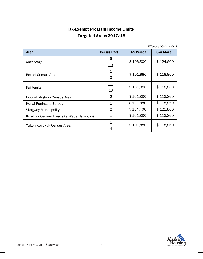# Tax-Exempt Program Income Limits Targeted Areas 2017/18

Effective 06/21/2017

| <b>Area</b>                             | <b>Census Tract</b>     | 1-2 Person | 3 or More |  |
|-----------------------------------------|-------------------------|------------|-----------|--|
|                                         | <u>6</u>                | \$106,800  | \$124,600 |  |
| Anchorage                               | <u> 10</u>              |            |           |  |
| <b>Bethel Census Area</b>               | $\overline{\mathbf{1}}$ | \$101,880  | \$118,860 |  |
|                                         | $\overline{3}$          |            |           |  |
|                                         | 11                      | \$101,880  | \$118,860 |  |
| Fairbanks                               | <u>18</u>               |            |           |  |
| Hoonah Angoon Census Area               | $\overline{2}$          | \$101,880  | \$118,860 |  |
| Kenai Peninsula Borough                 | $\overline{\mathbf{1}}$ | \$101,880  | \$118,860 |  |
| <b>Skagway Municipality</b>             | $\overline{2}$          | \$104,400  | \$121,800 |  |
| Kusilvak Census Area (aka Wade Hampton) | $\overline{\mathbf{1}}$ | \$101,880  | \$118,860 |  |
| Yukon Koyukuk Census Area               | $\overline{\mathbf{1}}$ | \$101,880  | \$118,860 |  |
|                                         | $\overline{4}$          |            |           |  |

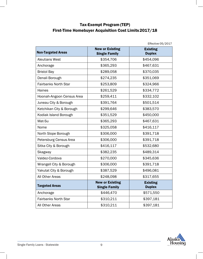# Tax-Exempt Program (TEP) First-Time Homebuyer Acquisition Cost Limits2017/18

|                             |                        | Effective $05/2017$ |
|-----------------------------|------------------------|---------------------|
|                             | <b>New or Existing</b> | <b>Existing</b>     |
| <b>Non-Targeted Areas</b>   | <b>Single Family</b>   | <b>Duplex</b>       |
| <b>Aleutians West</b>       | \$354,706              | \$454,096           |
| Anchorage                   | \$365,293              | \$467,631           |
| <b>Bristol Bay</b>          | \$289,058              | \$370,035           |
| Denali Borough              | \$274,235              | \$351,069           |
| <b>Fairbanks North Star</b> | \$253,809              | \$324,966           |
| Haines                      | \$261,529              | \$334,772           |
| Hoonah-Angoon Census Area   | \$259,411              | \$332,102           |
| Juneau City & Borough       | \$391,764              | \$501,514           |
| Ketchikan City & Borough    | \$299,646              | \$383,570           |
| Kodiak Island Borough       | \$351,529              | \$450,000           |
| Mat-Su                      | \$365,293              | \$467,631           |
| Nome                        | \$325,058              | \$416,117           |
| North Slope Borough         | \$306,000              | \$391,718           |
| Petersburg Census Area      | \$306,000              | \$391,718           |
| Sitka City & Borough        | \$416,117              | \$532,680           |
| Skagway                     | \$382,235              | \$489,314           |
| Valdez-Cordova              | \$270,000              | \$345,636           |
| Wrangell City & Borough     | \$306,000              | \$391,718           |
| Yakutat City & Borough      | \$387,529              | \$496,081           |
| All Other Areas             | \$248,098              | \$317,655           |
|                             | <b>New or Existing</b> | <b>Existing</b>     |
| <b>Targeted Areas</b>       | <b>Single Family</b>   | <b>Duplex</b>       |
| Anchorage                   | \$446,470              | \$571,550           |
| <b>Fairbanks North Star</b> | \$310,211              | \$397,181           |
| All Other Areas             | \$310,211              | \$397,181           |

 $\frac{1}{2}$ etive 05/2017

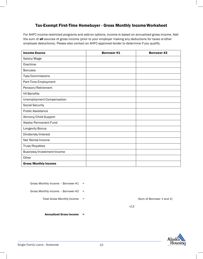# Tax-Exempt First-Time Homebuyer - Gross Monthly IncomeWorksheet

<span id="page-12-0"></span>For AHFC income-restricted programs and add-on options, income is based on annualized gross income. Add the sum of all sources of gross income (prior to your employer making any deductions for taxes or other employee deductions). Please also contact an AHFC-approved lender to determine if you qualify.

| <b>Income Source</b>             | <b>Borrower#1</b> | <b>Borrower #2</b> |
|----------------------------------|-------------------|--------------------|
| Salary/Wage                      |                   |                    |
| Overtime                         |                   |                    |
| <b>Bonuses</b>                   |                   |                    |
| Tips/Commissions                 |                   |                    |
| Part-Time Employment             |                   |                    |
| Pension/Retirement               |                   |                    |
| <b>VA Benefits</b>               |                   |                    |
| <b>Unemployment Compensation</b> |                   |                    |
| <b>Social Security</b>           |                   |                    |
| <b>Public Assistance</b>         |                   |                    |
| Alimony/Child Support            |                   |                    |
| Alaska Permanent Fund            |                   |                    |
| Longevity Bonus                  |                   |                    |
| Dividends/Interest               |                   |                    |
| Net Rental Income                |                   |                    |
| Trust/Royalties                  |                   |                    |
| Business/Investment Income       |                   |                    |
| Other                            |                   |                    |
| <b>Gross Monthly Income</b>      |                   |                    |

Gross Monthly Income - Borrower #1 =

Gross Monthly Income – Borrower #2 =

Total Gross Monthly Income = (Sum of Borrower 1 and 2)

x12

Annualized Gross Income =

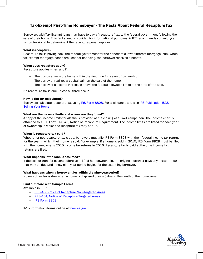# Tax-Exempt First-Time Homebuyer - The Facts About Federal RecaptureTax

Borrowers with Tax-Exempt loans may have to pay a "recapture" tax to the federal government following the sale of their home. This fact sheet is provided for informational purposes. AHFC recommends consulting a tax professional to determine if the recapture penaltyapplies.

#### What is recapture?

Recapture tax is paying back the federal government for the benefit of a lower interest mortgage loan. When tax-exempt mortgage bonds are used for financing, the borrower receives a benefit.

## When does recapture apply?

Recapture applies when and if:

- − The borrower sells the home within the first nine full years of ownership.
- − The borrower realizes a capital gain on the sale of the home.
- The borrower's income increases above the federal allowable limits at the time of the sale.

No recapture tax is due unless all three occur.

#### How is the tax calculated?

Borrowers calculate recapture tax using IRS Form 8828. For assistance, see also IRS Publication 523, Selling Your Home.

#### What are the income limits and where are they found?

A copy of the income limits for Alaska is provided at the closing of a Tax-Exempt loan. The income chart is attached to AHFC Form PRG-46, Notice of Recapture Requirement. The income limits are listed for each year of ownership in which the recapture tax may be due.

#### When is recapture tax paid?

Whether or not recapture tax is due, borrowers must file IRS Form 8828 with their federal income tax returns for the year in which their home is sold. For example, if a home is sold in 2015, IRS Form 8828 must be filed with the homeowner's 2015 income tax returns in 2016. Recapture tax is paid at the time income tax returns are filed.

#### What happens if the loan is assumed?

If the sale or transfer occurs before year 10 of homeownership, the original borrower pays any recapture tax that may be due and a new nine-year period begins for the assuming borrower.

## What happens when a borrower dies within the nine-year period?

No recapture tax is due when a home is disposed of (sold) due to the death of the homeowner.

## Find out more with Sample Forms.

Available in PDF:

- − PRG-46, Notice of Recapture Non-Targeted Areas.
- − PRG-46T, Notice of Recapture Targeted Areas.
- − IRS Form 8828.

IRS information/forms online at www.irs.gov.

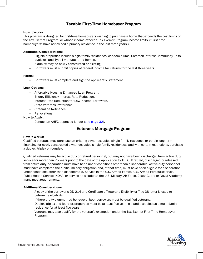# Taxable First-Time Homebuyer Program

#### <span id="page-14-0"></span>How it Works:

This program is designed for first-time homebuyers wishing to purchase a home that exceeds the cost limits of the Tax-Exempt Program, or whose income exceeds Tax-Exempt Program income limits. ("First-time homebuyers" have not owned a primary residence in the last three years.)

## Additional Considerations:

- − Eligible properties include single-family residences, condominiums, Common Interest Community units, duplexes and Type I manufactured homes.
- − A duplex may be newly constructed or existing.
- Borrowers must submit copies of federal income tax returns for the last three years.

#### Forms:

− Borrowers must complete and sign the Applicant's Statement.

## Loan Options:

- − Affordable Housing Enhanced Loan Program.
- − Energy Efficiency Interest Rate Reduction.
- − Interest Rate Reduction for Low-Income Borrowers.
- − State Veterans Preference.
- − Streamline Refinance.
- − Renovations

## <span id="page-14-1"></span>How to Apply:

− Contact an AHFC-approved lender (see page 32).

## Veterans Mortgage Program

#### How it Works:

Qualified veterans may purchase an existing owner occupied single-family residence or obtain long-term financing for newly constructed owner-occupied single-family residences; and with certain restrictions, purchase a duplex, triplex or fourplex.

Qualified veterans may be active duty or retired personnel, but may not have been discharged from active duty service for more than 25 years prior to the date of the application to AHFC. If retired, discharged or released from active duty, separation must have been under conditions other than dishonorable. Active duty personnel must have completed their initial military obligation and, at that time, must have been eligible for a separation under conditions other than dishonorable. Service in the U.S. Armed Forces, U.S. Armed Forces Reserves, Public Health Service, NOAA, or service as a cadet at the U.S. Military, Air Force, Coast Guard or Naval Academy many meet requirements.

#### Additional Considerations:

- − A copy of the borrower's DD-214 and Certificate of Veterans Eligibility or Title 38 letter is used to determine eligibility.
- − If there are two unmarried borrowers, both borrowers must be qualified veterans.
- − Duplex, triplex and fourplex properties must be at least five years old and occupied as a multi-family residence for at least five years.
- − Veterans may also qualify for the veteran's exemption under the Tax-Exempt First-Time Homebuyer Program.

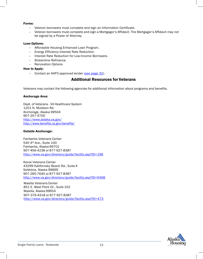#### Forms:

- − Veteran borrowers must complete and sign an Information Certificate.
- − Veteran borrowers must complete and sign a Mortgagor's Affidavit. The Mortgagor's Affidavit may not be signed by a Power of Attorney.

#### Loan Options:

- − Affordable Housing Enhanced Loan Program.
- − Energy Efficiency Interest Rate Reduction.
- − Interest Rate Reduction for Low-Income Borrowers.
- − Streamline Refinance.
- − Renovation Options

#### <span id="page-15-0"></span>How to Apply:

− Contact an AHFC-approved lender (see page 32).

## Additional Resources for Veterans

Veterans may contact the following agencies for additional information about programs and benefits.

#### Anchorage Area:

Dept. of Veterans - VA Healthcare System 1201 N. Muldoon Rd. Anchorage, Alaska 99504 907-257-4700 <http://www.alaska.va.gov/> <http://www.benefits.va.gov/benefits/>

#### Outside Anchorage:

Fairbanks Veterans Center 540 4th Ave., Suite 100 Fairbanks, Alaska 99701 907-456-4238 or 877-927-8387 <http://www.va.gov/directory/guide/facility.asp?ID=198>

Kenai Veterans Center 43299 Kalifornsky Beach Rd., Suite 4 Soldotna, Alaska 99669 907-260-7640 or 877-927-8387 <http://www.va.gov/directory/guide/facility.asp?ID=5468>

Wasilla Veterans Center 851 E. West Point Dr., Suite 102 Wasilla, Alaska 99654 907-376-4318 or 877-927-8387 <http://www.va.gov/directory/guide/facility.asp?ID=473>

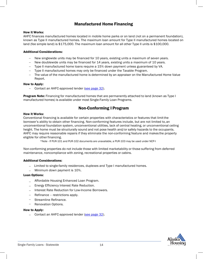# Manufactured Home Financing

### <span id="page-16-0"></span>How it Works:

AHFC finances manufactured homes located in mobile home parks or on land (not on a permanent foundation), known as Type II manufactured homes. The maximum loan amount for Type II manufactured homes located on land (fee simple land) is \$175,000. The maximum loan amount for all other Type II units is \$100,000.

## Additional Considerations:

- New singlewide units may be financed for 10 years, existing units a maximum of seven years.
- − New doublewide units may be financed for 14 years, existing units a maximum of 10 years.
- − Type II manufactured home loans require a 15% down payment unless guaranteed by VA.
- Type II manufactured homes may only be financed under the Taxable Program.
- − The value of the manufactured home is determined by an appraiser on the Manufactured Home Value Report.

## How to Apply:

− Contact an AHFC-approved lender (see page 32).

**Program Note:** Financing for manufactured homes that are permanently attached to land (known as Type I manufactured homes) is available under most Single-Family Loan Programs.

# Non-Conforming I Program

#### <span id="page-16-1"></span>How it Works:

Conventional financing is available for certain properties with characteristics or features that limitthe borrower's ability to obtain other financing. Non-conforming features include, but are not limited to, an unconventional foundation system, unconventional utilities, lack of central heating, or unconventional ceiling height. The home must be structurally sound and not pose health and/or safety hazards to the occupants. AHFC may require reasonable repairs if they eliminate the non-conforming feature and makes the property eligible for other financing.

\*Note - If PUR-101 and PUR-102 documents are unavailable, a PUR-103 may be used under NCP-I

Non-conforming properties do not include those with limited marketability or those suffering from deferred maintenance, noncompliance with zoning, recreational properties or cabins.

#### Additional Considerations:

- − Limited to single-family residences, duplexes and Type I manufactured homes.
- − Minimum down payment is 10%.

#### Loan Options:

- − Affordable Housing Enhanced Loan Program.
- − Energy Efficiency Interest Rate Reduction.
- − Interest Rate Reduction for Low-Income Borrowers.
- − Refinance restrictions apply.
- − Streamline Refinance.
- − Renovation Options.

#### How to Apply:

− Contact an AHFC-approved lender (see page 32).

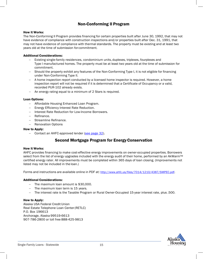# Non-Conforming II Program

## <span id="page-17-0"></span>How it Works:

The Non-Conforming II Program provides financing for certain properties built after June 30, 1992, that may not have evidence of compliance with construction inspections and/or properties built after Dec. 31, 1991, that may not have evidence of compliance with thermal standards. The property must be existing and at least two years old at the time of submission for commitment.

## Additional Considerations:

- Existing single-family residences, condominium units, duplexes, triplexes, fourplexes and Type I manufactured homes. The property must be at least two years old at the time of submission for commitment.
- − Should the property exhibit any features of the Non-Conforming Type I, it is not eligible for financing under Non-Conforming Type II.
- A home inspection report conducted by a licensed home inspector is required. However, a home inspection report will not be required if it is determined that a Certificate of Occupancy or a valid, recorded PUR-102 already exists.
- − An energy rating equal to a minimum of 2 Stars is required.

## Loan Options:

- − Affordable Housing Enhanced Loan Program.
- − Energy Efficiency Interest Rate Reduction.
- − Interest Rate Reduction for Low-Income Borrowers.
- − Refinance.
- − Streamline Refinance.
- − Renovation Options

## <span id="page-17-1"></span>How to Apply:

− Contact an AHFC-approved lender (see page 32).

# Second Mortgage Program for EnergyConservation

#### How it Works:

AHFC provides financing to make cost-effective energy improvements on owner-occupied properties. Borrowers select from the list of energy upgrades included with the energy audit of their home, performed by an AkWarm™ certified energy rater. All improvements must be completed within 365 days of loan closing. (Improvements not listed may not be included in the loan.)

Forms and instructions are available online in PDF at[: http://www.ahfc.us/files/7014/1210/4387/SMPEC.pdf.](http://www.ahfc.us/files/7014/1210/4387/SMPEC.pdf)

#### Additional Considerations:

- − The maximum loan amount is \$30,000.
- The maximum loan term is 15 years.
- − The interest rate is the Taxable Program or Rural Owner-Occupied 15-year interest rate, plus .500.

#### How to Apply:

Alaska USA Federal Credit Union Real Estate Telephone Loan Center(RETLC) P.O. Box 196613 Anchorage, Alaska 99519-6613 907-786-2800 or toll free 888-425-9813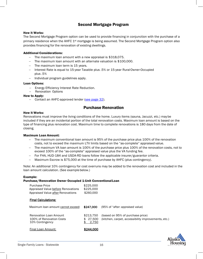# <span id="page-18-0"></span>Second Mortgage Program

### How it Works:

The Second Mortgage Program option can be used to provide financing in conjunction with the purchase of a primary residence when the AHFC 1<sup>st</sup> mortgage is being assumed. The Second Mortgage Program option also provides financing for the renovation of existing dwellings.

## Additional Considerations:

- − The maximum loan amount with a new appraisal is \$318,075.
- − The maximum loan amount with an alternate valuation is \$100,000.
- − The maximum loan term is 15 years.
- − Interest Rate is equal to 15-year Taxable plus .5% or 15-year RuralOwner-Occupied plus .5%
- − Individual program guidelines apply.

#### Loan Options:

- Energy Efficiency Interest Rate Reduction.
- Renovation Options

#### How to Apply:

− Contact an AHFC-approved lender (see page 32).

## Purchase Renovation

#### <span id="page-18-1"></span>How it Works:

Renovations must improve the living conditions of the home. Luxury items (sauna, Jacuzzi, etc.) maybe included if they are an incidental portion of the total renovation costs. Maximum loan amount is based on the type of financing plus renovation cost. Maximum time to complete renovations is 180 days from the date of closing.

#### Maximum Loan Amount:

- − The maximum conventional loan amount is 95% of the purchase price plus 100% of the renovation costs, not to exceed the maximum LTV limits based on the "as-complete" appraised value.
- − The maximum VA loan amount is 100% of the purchase price plus 100% of the renovation costs, not to exceed 100% of the "as-complete" appraised value plus the VA funding fee.
- − For FHA, HUD-184 and USDA-RD loans follow the applicable insurer/guarantor criteria.
- − Maximum Escrow is \$75,000 at the time of purchase by AHFC (plus contingency).

Note: An additional 10% contingency for cost overruns may be added to the renovation cost and included in the loan amount calculation. (See example below.)

#### Example:

#### Purchase/Renovation Owner Occupied 1-Unit ConventionalLoan

| <b>Purchase Price</b>              | \$225,000 |
|------------------------------------|-----------|
| Appraised Value before Renovations | \$225,000 |
| Appraised Value after Renovations  | \$260,000 |

Final Loan Amount: \$244,000

#### Final Calculations:

| Maximum Ioan amount cannot exceed: \$247,000                                 |                                 | (95% of "after: appraised value)                                                        |
|------------------------------------------------------------------------------|---------------------------------|-----------------------------------------------------------------------------------------|
| <b>Renovation Loan Amount</b><br>100% of Renovation Costs<br>10% Contingency | \$213.750<br>\$ 27.500<br>2.750 | (based on 95% of purchase price)<br>(kitchen, carpet, accessibility improvements, etc.) |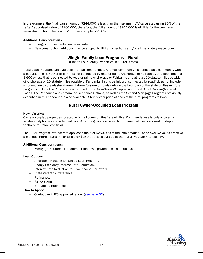In the example, the final loan amount of \$244,000 is less than the maximum LTV calculated using 95% of the "after" appraised value of \$260,000; therefore, the full amount of \$244,000 is eligible for thepurchase renovation option. The final LTV for this example is93.8%.

## Additional Considerations:

- Energy improvements can be included.
- New construction additions may be subject to BEES inspections and/or all mandatory inspections.

# Single-Family Loan Programs – Rural

(One- to Four-Family Properties in "Rural" Areas)

<span id="page-19-0"></span>Rural Loan Programs are available in small communities. A "small community" is defined as a community with a population of 6,500 or less that is not connected by road or rail to Anchorage or Fairbanks, or a population of 1,600 or less that is connected by road or rail to Anchorage or Fairbanks and at least 50 statute miles outside of Anchorage or 25 statute miles outside of Fairbanks. In this definition, "connected by road" does not include a connection by the Alaska Marine Highway System or roads outside the boundary of the state of Alaska. Rural programs include the Rural Owner-Occupied, Rural Non-Owner-Occupied and Rural Small BuildingMaterial Loans. The Refinance and Streamline Refinance Options, as well as the Second Mortgage Programs previously described in this handout are also available. A brief description of each of the rural programs follows.

# Rural Owner-Occupied Loan Program

#### <span id="page-19-1"></span>How it Works:

Owner-occupied properties located in "small communities" are eligible. Commercial use is only allowed on single-family homes and is limited to 25% of the gross floor area. No commercial use is allowed on duplex, triplex or fourplex properties.

The Rural Program interest rate applies to the first \$250,000 of the loan amount. Loans over \$250,000 receive a blended interest rate; the excess over \$250,000 is calculated at the Rural Program rate plus 1%.

## Additional Considerations:

− Mortgage insurance is required if the down payment is less than 10%.

#### Loan Options:

- − Affordable Housing Enhanced Loan Program.
- − Energy Efficiency Interest Rate Reduction.
- − Interest Rate Reduction for Low-Income Borrowers.
- − State Veterans Preference.
- − Refinance.
- − Renovations.
- − Streamline Refinance.

#### How to Apply:

Contact an AHFC-approved lender (see page 32).

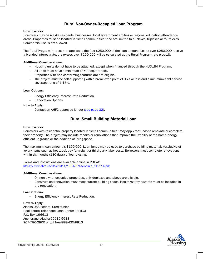# Rural Non-Owner-Occupied Loan Program

#### How it Works:

<span id="page-20-0"></span>Borrowers may be Alaska residents, businesses, local government entities or regional education attendance areas. Properties must be located in "small communities" and are limited to duplexes, triplexes or fourplexes. Commercial use is not allowed.

The Rural Program interest rate applies to the first \$250,000 of the loan amount. Loans over \$250,000 receive a blended interest rate; the excess over \$250,000 will be calculated at the Rural Program rate plus 1%.

#### Additional Considerations:

- − Housing units do not have to be attached, except when financed through the HUD184 Program.
- − All units must have a minimum of 600 square feet.
- − Properties with non-conforming features are not eligible.
- − The project must be self-supporting with a break-even point of 85% or less and a minimum debt service coverage ratio of 1.15%.

#### Loan Options:

- − Energy Efficiency Interest Rate Reduction.
- − Renovation Options

#### How to Apply:

− Contact an AHFC-approved lender (see page 32).

# Rural Small Building Material Loan

#### <span id="page-20-1"></span>How it Works:

Borrowers with residential property located in "small communities" may apply for funds to renovate or complete their property. The project may include repairs or renovations that improve the livability of the home,energyefficient upgrades or the addition of livingspace.

The maximum loan amount is \$100,000. Loan funds may be used to purchase building materials (exclusive of luxury items such as hot tubs), pay for freight or third-party labor costs. Borrowers must complete renovations within six months (180 days) of loan closing.

Forms and instructions are available online in PDF at: https:/[/www.ahfc.us/files/1314/1661/3755/sbmlp\\_112114.pdf.](http://www.ahfc.us/files/1314/1661/3755/sbmlp_112114.pdf)

#### Additional Considerations:

- On non-owner-occupied properties, only duplexes and above are eligible.
- − Construction/renovation must meet current building codes. Health/safety hazards must be included in the renovation.

#### Loan Options:

− Energy Efficiency Interest Rate Reduction.

#### How to Apply:

Alaska USA Federal Credit Union Real Estate Telephone Loan Center(RETLC) P.O. Box 196613 Anchorage, Alaska 99519-6613 907-786-2800 or toll free 888-425-9813

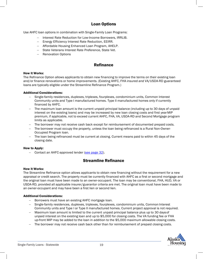# Loan Options

<span id="page-21-0"></span>Use AHFC loan options in combination with Single-Family Loan Programs:

- − Interest Rate Reduction for Low-Income Borrowers, IRRLIB.
- − Energy Efficiency Interest Rate Reduction, EEIRR.
- − Affordable Housing Enhanced Loan Program, AHELP.
- − State Veterans Interest Rate Preference, State Vet.
- − Renovation Options

## Refinance

#### <span id="page-21-1"></span>How it Works:

The Refinance Option allows applicants to obtain new financing to improve the terms on their existing loan and/or finance renovations or home improvements. (Existing AHFC, FHA insured and VA/USDA-RD guaranteed loans are typically eligible under the Streamline Refinance Program.)

#### Additional Considerations:

- Single-family residences, duplexes, triplexes, fourplexes, condominium units, Common Interest Community units and Type I manufactured homes. Type II manufactured homes only if currently financed by AHFC.
- The maximum loan amount is the current unpaid principal balance (including up to 30 days of unpaid interest on the existing loans) and may be increased by new loan closing costs and first year MIP premium, if applicable, not to exceed current AHFC, FHA, VA, USDA-RD and Second Mortgage program limits as applicable.
- The borrower may not receive cash back except for reimbursement of documented prepaid costs.
- − The borrower must occupy the property, unless the loan being refinanced is a Rural Non-Owner-Occupied Program loan.
- − The loan being refinanced must be current at closing. Current means paid to within 45 days of the closing date.

#### How to Apply:

− Contact an AHFC-approved lender (see page 32).

## Streamline Refinance

#### <span id="page-21-2"></span>How it Works:

The Streamline Refinance option allows applicants to obtain new financing without the requirement for a new appraisal or credit search. The property must be currently financed with AHFC as a first or second mortgage and the original loan must have been made to an owner-occupant. The loan may be conventional, FHA, HUD, VA or USDA-RD, provided all applicable insurer/guarantor criteria are met. The original loan must have been made to an owner-occupant and may have been a first lien or second lien.

#### Additional Considerations:

- Borrowers must have an existing AHFC mortgage loan.
- − Single-family residences, duplexes, triplexes, fourplexes, condominium units, Common Interest Community units and Type I or Type II manufactured homes. Current project approval is not required.
- Maximum loan amount is limited to the current unpaid principal balance plus up to 30 days of unpaid interest on the existing loan and up to \$5,000 for closing costs. The VA funding fee or FHA up-front MIP may be added to the loan in addition to the \$5,000 maximum allowable closing costs.
- The borrower may not receive cash back other than for reimbursement of prepaid closing costs.

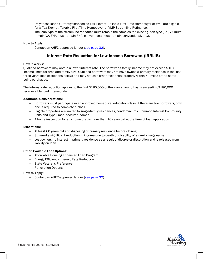- − Only those loans currently financed as Tax-Exempt, Taxable First-Time Homebuyer or VMP are eligible for a Tax-Exempt, Taxable First-Time Homebuyer or VMP Streamline Refinance.
- The loan type of the streamline refinance must remain the same as the existing loan type (i.e., VA must remain VA, FHA must remain FHA, conventional must remain conventional, etc.).

#### How to Apply:

− Contact an AHFC-approved lender (see page 32).

# Interest Rate Reduction for Low-Income Borrowers (IRRLIB)

### <span id="page-22-0"></span>How it Works:

Qualified borrowers may obtain a lower interest rate. The borrower's family income may not exceed AHFC income limits for area and family size. Qualified borrowers may not have owned a primary residence in the last three years (see exceptions below) and may not own other residential property within 50 miles of the home being purchased.

The interest rate reduction applies to the first \$180,000 of the loan amount. Loans exceeding \$180,000 receive a blended interest rate.

## Additional Considerations:

- Borrowers must participate in an approved homebuyer education class. If there are two borrowers, only one is required to complete a class.
- − Eligible properties are limited to single-family residences, condominiums, Common Interest Community units and Type I manufactured homes.
- − A home inspection for any home that is more than 10 years old at the time of loan application.

#### Exceptions:

- − At least 60 years old and disposing of primary residence before closing.
- − Suffered a significant reduction in income due to death or disability of a family wage earner.
- − Lost ownership interest in primary residence as a result of divorce or dissolution and is released from liability on loan.

#### Other Available Loan Options:

- − Affordable Housing Enhanced Loan Program.
- − Energy Efficiency Interest Rate Reduction.
- − State Veterans Preference.
- − Renovation Options

#### How to Apply:

− Contact an AHFC-approved lender (see page 32).

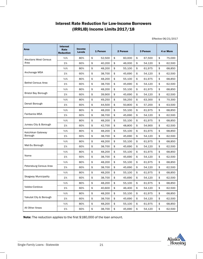# Interest Rate Reduction for Low-Income Borrowers (IRRLIB) Income Limits 2017/18

Effective 06/21/2017

| <b>Area</b>                  | <b>Interest</b><br>Rate<br><b>Reduction</b> | Income<br><b>Levels</b> | 1 Person |        | 2 Person     | 3 Person     | 4 or More    |
|------------------------------|---------------------------------------------|-------------------------|----------|--------|--------------|--------------|--------------|
| <b>Aleutians West Census</b> | 1/2%                                        | 80%                     | \$       | 52,500 | \$<br>60,000 | \$<br>67,500 | \$<br>75,000 |
| Area                         | 1%                                          | 60%                     | \$       | 40,200 | \$<br>46.000 | \$<br>54,120 | \$<br>62,500 |
|                              | $\frac{1}{2}\%$                             | 80%                     | \$       | 48,200 | \$<br>55,100 | \$<br>61,975 | \$<br>68,850 |
| Anchorage MSA                | 1%                                          | 60%                     | \$       | 38,700 | \$<br>45,690 | \$<br>54,120 | \$<br>62,500 |
|                              | $\frac{1}{2}\%$                             | 80%                     | \$       | 48,200 | \$<br>55,100 | \$<br>61,975 | \$<br>68,850 |
| <b>Bethel Census Area</b>    | 1%                                          | 60%                     | \$       | 38,700 | \$<br>45.690 | \$<br>54,120 | \$<br>62,500 |
|                              | 1/2%                                        | 80%                     | \$       | 48,200 | \$<br>55,100 | \$<br>61,975 | \$<br>68,850 |
| <b>Bristol Bay Borough</b>   | 1%                                          | 60%                     | \$       | 39,900 | \$<br>45,690 | \$<br>54,120 | \$<br>62,500 |
|                              | 1/2%                                        | 80%                     | \$       | 49,250 | \$<br>56,250 | \$<br>63,300 | \$<br>70,300 |
| Denali Borough               | 1%                                          | 60%                     | \$       | 44,500 | \$<br>50,800 | \$<br>57,200 | \$<br>63,500 |
|                              | $\frac{1}{2}\%$                             | 80%                     | \$       | 48,200 | \$<br>55,100 | \$<br>61,975 | \$<br>68,850 |
| Fairbanks MSA                | 1%                                          | 60%                     | \$       | 38,700 | \$<br>45,690 | \$<br>54,120 | \$<br>62,500 |
|                              | 1/2%                                        | 80%                     | \$       | 48,200 | \$<br>55,100 | \$<br>61,975 | \$<br>68,850 |
| Juneau City & Borough        | 1%                                          | 60%                     | \$       | 42,700 | \$<br>48,800 | \$<br>54,900 | \$<br>62,500 |
| Ketchikan Gateway            | $\frac{1}{2}\%$                             | 80%                     | \$       | 48,200 | \$<br>55,100 | \$<br>61,975 | \$<br>68,850 |
| Borough                      | 1%                                          | 60%                     | \$       | 38,700 | \$<br>45,690 | \$<br>54,120 | \$<br>62,500 |
|                              | $\frac{1}{2}\%$                             | 80%                     | \$       | 48,200 | \$<br>55,100 | \$<br>61,975 | \$<br>68,850 |
| Mat-Su Borough               | 1%                                          | 60%                     | \$       | 38,700 | \$<br>45,690 | \$<br>54,120 | \$<br>62,500 |
|                              | 1/2%                                        | 80%                     | \$       | 48,200 | \$<br>55,100 | \$<br>61,975 | \$<br>68,850 |
| Nome                         | 1%                                          | 60%                     | \$       | 38,700 | \$<br>45,690 | \$<br>54,120 | \$<br>62,500 |
|                              | 1/2%                                        | 80%                     | \$       | 48,200 | \$<br>55,100 | \$<br>61,975 | \$<br>68,850 |
| Petersburg Census Area       | 1%                                          | 60%                     | \$       | 38,700 | \$<br>45,690 | \$<br>54,120 | \$<br>62,500 |
|                              | 1/2%                                        | 80%                     | \$       | 48,200 | \$<br>55,100 | \$<br>61,975 | \$<br>68,850 |
| <b>Skagway Municipality</b>  | 1%                                          | 60%                     | \$       | 38,700 | \$<br>45,690 | \$<br>54,120 | \$<br>62,500 |
|                              | 1/2%                                        | 80%                     | \$       | 48,200 | \$<br>55,100 | \$<br>61,975 | \$<br>68,850 |
| Valdez-Cordova               | 1%                                          | 60%                     | \$       | 40,600 | \$<br>46,400 | \$<br>54,120 | \$<br>62,500 |
|                              | 1/2%                                        | 80%                     | \$       | 48,200 | \$<br>55,100 | \$<br>61,975 | \$<br>68,850 |
| Yakutat City & Borough       | 1%                                          | 60%                     | \$       | 38,700 | \$<br>45,690 | \$<br>54,120 | \$<br>62,500 |
|                              | $\frac{1}{2}\%$                             | 80%                     | \$       | 48,200 | \$<br>55,100 | \$<br>61,975 | \$<br>68,850 |
| All Other Areas              | 1%                                          | 60%                     | \$       | 38,700 | \$<br>45,690 | \$<br>54,120 | \$<br>62,500 |

Note: The reduction applies to the first \$180,000 of the loan amount.

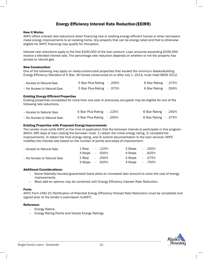# Energy Efficiency Interest Rate Reduction(EEIRR)

#### <span id="page-24-0"></span>How it Works:

AHFC offers interest rate reductions when financing new or existing energy-efficient homes or when borrowers make energy improvements to an existing home. Any property that can be energy rated and that is otherwise eligible for AHFC financing may qualify for thisoption.

Interest rate reductions apply to the first \$200,000 of the loan amount. Loan amounts exceeding \$200,000 receive a blended interest rate. The percentage rate reduction depends on whether or not the property has access to natural gas.

#### New Construction:

One of the following may apply on newly-constructed properties that exceed the minimum Alaska Building Energy Efficiency Standard of 5 Star. All homes constructed on or after July 1, 2013, must meet BEES 2012.

| - Access to Natural Gas:    | 5 Star Plus Rating - .250% | $6$ Star Rating $-0.375%$ |  |
|-----------------------------|----------------------------|---------------------------|--|
| – No Access to Natural Gas: | 5 Star Plus Rating - .375% | $6$ Star Rating $-.500\%$ |  |

#### Existing Energy-Efficient Properties

Existing properties (completed for more than one year or previously occupied) may be eligible for one of the following rate reductions.

| - Access to Natural Gas:    | 5 Star Plus Rating - .125% | 6 Star Rating - .250% |  |
|-----------------------------|----------------------------|-----------------------|--|
| – No Access to Natural Gas: | 250%. - 5 Star Plus Rating | .375% - 6 Star Rating |  |

#### Existing Properties with Proposed Energy Improvements

The Lender must notify AHFC at the time of application that the borrower intends to participate in this program. Within 365 days of loan closing the borrower must: 1) obtain the initial energy rating, 2) complete the improvements, 3) obtain the final energy rating, and 4) submit documentation to the loan servicer. AHFC modifies the interest rate based on the number of points and steps of improvement.

| - Access to Natural Gas:    | 1 Step - 125%   |  | 2 Steps 250%   |  |
|-----------------------------|-----------------|--|----------------|--|
|                             | 3 Steps - .500% |  | 4 Steps 625%   |  |
| - No Access to Natural Gas: | 1 Step - 250%   |  | 375% - 2 Steps |  |
|                             | 3 Steps - .625% |  | 4 Steps - 750% |  |

#### Additional Considerations:

- Some federally insured/guaranteed loans allow an increased loan amount to cover the cost of energy improvements.
- − Most add-on options may be combined with Energy Efficiency Interest Rate Reduction.

#### Form:

AHFC Form UND-10 (Notification of Potential Energy Efficiency Interest Rate Reduction) must be completed and signed prior to the lender's submission toAHFC.

#### Reference:

- − Energy Raters.
- − Energy Rating Points and Values Energy Ratings.

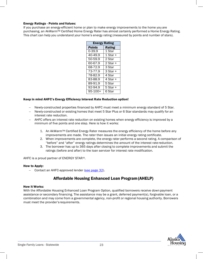## Energy Ratings - Points and Values:

If you purchase an energy-efficient home or plan to make energy improvements to the home you are purchasing, an AkWarm™ Certified Home Energy Rater has almost certainly performed a Home Energy Rating. This chart can help you understand your home's energy rating (measured by points and number of stars).

| <b>Energy Rating</b>  |               |  |  |  |  |
|-----------------------|---------------|--|--|--|--|
| <b>Points</b>         | <b>Rating</b> |  |  |  |  |
| 0-39.9                | 1 Star        |  |  |  |  |
| 40-49.9               | 1 Star +      |  |  |  |  |
| $\overline{50}$ -59.9 | 2 Star        |  |  |  |  |
| 60-67.9               | 2 Star +      |  |  |  |  |
| 68-72.9               | 3 Star        |  |  |  |  |
| 73-77.9               | 3 Star +      |  |  |  |  |
| 78-82.9               | 4 Star        |  |  |  |  |
| $83 - 88.9$           | $4$ Star +    |  |  |  |  |
| $89-91.9$             | 5 Star        |  |  |  |  |
| $\frac{1}{92-94.9}$   | 5 Star +      |  |  |  |  |
| 95-100+               | 6 Star        |  |  |  |  |

## Keep in mind AHFC's Energy Efficiency Interest Rate Reduction option!

- − Newly-constructed properties financed by AHFC must meet a minimum energy standard of 5 Star.
- − Newly-constructed or existing homes that meet 5 Star Plus or 6 Star standards may qualify for an interest rate reduction.
- − AHFC offers an interest rate reduction on existing homes when energy efficiency is improved by a minimum of five points and one step. Here is how it works:
	- 1. An AkWarmTM Certified Energy Rater measures the energy efficiency of the home before any improvements are made. The rater then issues an initial energy rating certificate.
	- 2. When improvements are complete, the energy rater performs a second rating. A comparison of "before" and "after" energy ratings determines the amount of the interest rate reduction.
	- 3. The borrower has up to 365 days after closing to complete improvements and submit the ratings (before and after) to the loan servicer for interest rate modification.

AHFC is a proud partner of ENERGY STAR ®.

#### How to Apply:

− Contact an AHFC-approved lender (see page 32).

# Affordable Housing Enhanced Loan Program(AHELP)

#### <span id="page-25-0"></span>How it Works:

With the Affordable Housing Enhanced Loan Program Option, qualified borrowers receive downpayment assistance or secondary financing. The assistance may be a grant, deferred payment(s), forgivable loan, or a combination and may come from a governmental agency, non-profit or regional housing authority. Borrowers must meet the provider's requirements.

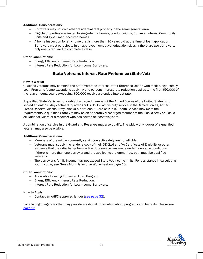## Additional Considerations:

- − Borrowers may not own other residential real property in the same general area.
- − Eligible properties are limited to single-family homes, condominiums, Common Interest Community units and Type I manufactured homes.
- − A home inspection for any home that is more than 10 years old at the time of loan application
- − Borrowers must participate in an approved homebuyer education class. If there are two borrowers, only one is required to complete a class.

## Other Loan Options:

- − Energy Efficiency Interest Rate Reduction.
- − Interest Rate Reduction for Low-Income Borrowers.

# State Veterans Interest Rate Preference (State Vet)

#### <span id="page-26-0"></span>How it Works:

Qualified veterans may combine the State Veterans Interest Rate Preference Option with most Single-Family Loan Programs (some exceptions apply). A one percent interest rate reduction applies to the first \$50,000 of the loan amount. Loans exceeding \$50,000 receive a blended interest rate.

A qualified State Vet is an honorably discharged member of the Armed Forces of the United States who served at least 90 days active duty after April 6, 1917. Active duty service in the Armed Forces, Armed Forces Reserve, Alaska Army, Alaska Air National Guard or Public Health Service may meet the requirements. A qualified State Vet may be an honorably discharged member of the Alaska Army or Alaska Air National Guard or a reservist who has served at least five years.

A combination of service in the Guard and Reserves may also qualify. The widow or widower of a qualified veteran may also be eligible.

#### Additional Considerations:

- − Members of the military currently serving on active duty are not eligible.
- − Veterans must supply the lender a copy of their DD-214 and VA Certificate of Eligibility or other evidence that their discharge from active duty service was made under honorable conditions.
- − If there is more than one borrower and the applicants are unmarried, both must be qualified veterans.
- − The borrower's family income may not exceed State Vet income limits. For assistance in calculating your income, see Gross Monthly Income Worksheet on page 10.

#### Other Loan Options:

- − Affordable Housing Enhanced Loan Program.
- − Energy Efficiency Interest Rate Reduction.
- − Interest Rate Reduction for Low-Income Borrowers.

#### How to Apply:

− Contact an AHFC-approved lender (see page 32).

For a listing of agencies that may provide additional information about programs and benefits, please see page 13.

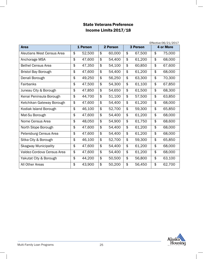# State Veterans Preference Income Limits 2017/18

|                             | Effective 06/21/2017    |          |    |          |    |          |    |                  |  |
|-----------------------------|-------------------------|----------|----|----------|----|----------|----|------------------|--|
| <b>Area</b>                 |                         | 1 Person |    | 2 Person |    | 3 Person |    | <b>4 or More</b> |  |
| Aleutians West Census Area  | \$                      | 52,500   | \$ | 60,000   | \$ | 67,500   | \$ | 75,000           |  |
| Anchorage MSA               | \$                      | 47,600   | \$ | 54,400   | \$ | 61,200   | \$ | 68,000           |  |
| <b>Bethel Census Area</b>   | \$                      | 47,350   | \$ | 54,100   | \$ | 60,850   | \$ | 67,600           |  |
| <b>Bristol Bay Borough</b>  | \$                      | 47,600   | \$ | 54,400   | \$ | 61,200   | \$ | 68,000           |  |
| Denali Borough              | \$                      | 49,250   | \$ | 56,250   | \$ | 63,300   | \$ | 70,300           |  |
| Fairbanks                   | \$                      | 47,500   | \$ | 54,300   | \$ | 61,100   | \$ | 67,850           |  |
| Juneau City & Borough       | \$                      | 47,850   | \$ | 54,650   | \$ | 61,500   | \$ | 68,300           |  |
| Kenai Peninsula Borough     | \$                      | 44,700   | \$ | 51,100   | \$ | 57,500   | \$ | 63,850           |  |
| Ketchikan Gateway Borough   | \$                      | 47,600   | \$ | 54,400   | \$ | 61,200   | \$ | 68,000           |  |
| Kodiak Island Borough       | \$                      | 46,100   | \$ | 52,700   | \$ | 59,300   | \$ | 65,850           |  |
| Mat-Su Borough              | \$                      | 47,600   | \$ | 54,400   | \$ | 61,200   | \$ | 68,000           |  |
| Nome Census Area            | \$                      | 48,050   | \$ | 54,900   | \$ | 61,750   | \$ | 68,600           |  |
| North Slope Borough         | \$                      | 47,600   | \$ | 54,400   | \$ | 61,200   | \$ | 68,000           |  |
| Petersburg Census Area      | \$                      | 47,600   | \$ | 54,400   | \$ | 61,200   | \$ | 68,000           |  |
| Sitka City & Borough        | \$                      | 46,100   | \$ | 52,700   | \$ | 59,300   | \$ | 65,850           |  |
| <b>Skagway Municipality</b> | \$                      | 47,600   | \$ | 54,400   | \$ | 61,200   | \$ | 68,000           |  |
| Valdez-Cordova Census Area  | $\overline{\mathbf{e}}$ | 47,600   | \$ | 54,400   | \$ | 61,200   | \$ | 68,000           |  |
| Yakutat City & Borough      | \$                      | 44,200   | \$ | 50,500   | \$ | 56,800   | \$ | 63,100           |  |
| All Other Areas             | \$                      | 43,900   | \$ | 50,200   | \$ | 56,450   | \$ | 62,700           |  |

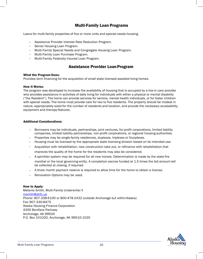# Multi-Family Loan Programs

Loans for multi-family properties of five or more units and special-needs housing.

- − Assistance Provider Interest Rate Reduction Program.
- − Senior Housing Loan Program.
- − Multi-Family Special Needs and Congregate Housing Loan Program.
- − Multi-Family Loan Purchase Program.
- − Multi-Family Federally Insured Loan Program.

## Assistance Provider LoanProgram

#### What the Program Does:

Provides term financing for the acquisition of small state licensed assisted living homes.

#### How it Works:

The program was developed to increase the availability of housing that is occupied by a live-in care provider who provides assistance in activities of daily living for individuals with either a physical or mental disability ("the Resident"). The home can provide services for seniors, mental health individuals, or for foster children with special needs. The home must provide care for two to five residents. The property should be modest in nature, appropriately sized for the number of residents and location, and provide the necessary accessibility, equipment and therapy features.

#### Additional Considerations:

- Borrowers may be individuals, partnerships, joint ventures, for-profit corporations, limited liability companies, limited liability partnerships, non-profit corporations, or regional housing authorities.
- − Properties may be single-family residences, duplexes, triplexes or fourplexes.
- − Housing must be licensed by the appropriate state licensing division based on its intended use.
- − Acquisition with rehabilitation, new construction take out, or refinance with rehabilitation that

improves the quality of the home for the residents may also be considered.

- − A sprinkler system may be required for all new homes. Determination is made by the state fire marshal or the local governing entity. A completion escrow funded at 1.5 times the bid amount will be collected at closing, if required.
- − A three month payment reserve is required to allow time for the home to obtain a license.
- − Renovation Options may be used.

#### How to Apply:

Melanie Smith, Multi-Family Underwriter II msmith@ahfc.us Phone: 907-338-6100 or 800-478-2432 (outside Anchorage but withinAlaska) Fax: [907-330-847](mailto:msmith@ahfc.us)5 Alaska Housing Finance Corporation 4300 Boniface Parkway Anchorage, AK 99504 P.O. Box 101020, Anchorage, AK 99510-1020

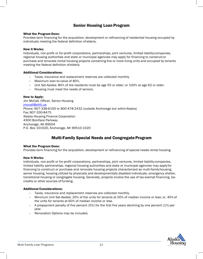# Senior Housing Loan Program

## What the Program Does:

Provides term financing for the acquisition, development or refinancing of residential housing occupied by individuals meeting the federal definition ofelderly.

## How it Works:

Individuals, non-profit or for-profit corporations, partnerships, joint ventures, limited liability companies, regional housing authorities and state or municipal agencies may apply for financing to construct or purchase and renovate rental housing projects containing five or more living units and occupied by tenants meeting the federal definition of elderly.

## Additional Considerations:

- − Taxes, insurance and replacement reserves are collected monthly.
- − Maximum loan-to-value of 80%.
- − Unit Set-Asides: 80% of the residents must be age 55 or older; or 100% at age 62 or older.
- − Housing must meet the needs of seniors.

## How to Apply:

Jim McCall, Officer, Senior Housing [jmccall@ahfc.us](mailto:jmccall@ahfc.us) Phone: 907-338-6100 or 800-478-2432 (outside Anchorage but withinAlaska) Fax: 907-330-8475 Alaska Housing Finance Corporation 4300 Boniface Parkway Anchorage, AK 99504 P.O. Box 101020, Anchorage, AK 99510-1020

# **Multi-Family Special Needs and Congregate Program**

#### What the Program Does:

Provides term financing for the acquisition, development or refinancing of special needs rental housing.

#### How it Works:

Individuals, non-profit or for-profit corporations, partnerships, joint ventures, limited liability companies, limited liability partnerships, regional housing authorities and state or municipal agencies may apply for financing to construct or purchase and renovate housing projects characterized as multi-familyhousing, senior housing, housing utilized by physically and developmentally disabled individuals, emergency shelter, transitional housing or congregate housing. Generally, projects involve the use of tax-exempt financing, tax credits or other sources of funding.

## Additional Considerations:

- Taxes, insurance and replacement reserves are collected monthly.
- − Minimum Unit Set-Asides: 20% of the units for tenants at 50% of median income or less; or, 40%of the units for tenants at 60% of median income or less.
- − A prepayment penalty of five percent (5%) for the first five years declining by one percent (1%) per year.
- − Renovation Options may be included.

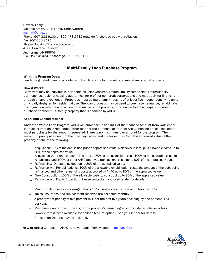How to Apply: Melanie Smith, Multi-Family UnderwriterII [msmith@ahfc.us](mailto:msmith@ahfc.us) Phone: 907-338-6100 or 800-478-2432 (outside Anchorage but withinAlaska) Fax: 907-330-8475 Alaska Housing Finance Corporation 4300 Boniface Parkway Anchorage, AK 99504 P.O. Box 101020, Anchorage, AK 99510-1020

# Multi-Family Loan Purchase Program

## What the Program Does:

Lender originated loans to provide term loan financing for market rate, multi-family rental property.

#### How it Works:

Borrowers may be individuals, partnerships, joint ventures, limited liability companies, limited liability partnerships, regional housing authorities, for-profit or non-profit corporations and may apply for financing through an approved lender. Properties must be multi-family housing of at least five independent living units principally designed for residential use. The loan proceeds may be used to purchase, refinance, rehabilitate in conjunction with the acquisition or refinance of the property, or refinance to extract equity in orderto purchase another multi-family property that is financed by AHFC.

## Additional Considerations:

Under the Whole Loan Program, AHFC will purchase up to 100% of the financed amount from yourlender. If equity extraction is requested, other than for the purchase of another AHFC-financed project, the lender must participate for the amount requested. There is no maximum loan amount for the program. The maximum principal amount of the loanmay not exceed the lesser of 80% of the appraised value of the property or one of the following:

- − Acquisition: 80% of the acquisition price or appraised value, whichever is less, plus allowable costs up to 80% of the appraised value.
- − Acquisition with Rehabilitation: The total of 80% of the acquisition cost, 100% of the allowable costs to rehabilitate and 100% of other AHFC-approved transactions costs up to 80% of the appraised value.
- − Refinancing: Outstanding debt up to 80% of the appraised value.
- − Refinance with Rehabilitations: 100% of the allowable rehabilitation costs, the amount of the debt being refinanced and other refinancing costs approved by AHFC up to 80% of the appraised value.
- − New Construction: 100% of the allowable costs to construct up to 80% of the appraised value.
- Refinance with Equity Extraction: Please contact an approved lender for details. −
- Minimum debt service coverage ratio is 1.25 using a vacancy rate of no less than 5%. −
- − Taxes, insurance and replacement reserves are collected monthly.
- − A prepayment penalty of five percent (5%) for the first five years declining by one percent (1%) per year.
- − Maximum loan term is 30 years, or the property's remaining economic life, whichever is less.
- − Lower interest rates available for balloon feature option see your lender for details.
- − Renovation Options may be included.

How to Apply: Contact an AHFC-approved Multi-Family lender (see page 33).

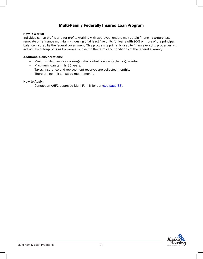# Multi-Family Federally Insured Loan Program

#### How it Works:

Individuals, non-profits and for-profits working with approved lenders may obtain financing topurchase, renovate or refinance multi-family housing of at least five units for loans with 90% or more of the principal balance insured by the federal government. This program is primarily used to finance existing properties with individuals or for-profits as borrowers, subject to the terms and conditions of the federal guaranty.

#### Additional Considerations:

- − Minimum debt service coverage ratio is what is acceptable by guarantor.
- − Maximum loan term is 35 years.
- − Taxes, insurance and replacement reserves are collected monthly.
- − There are no unit set-aside requirements.

#### How to Apply:

− Contact an AHFC-approved Multi-Family lender (see page 33).

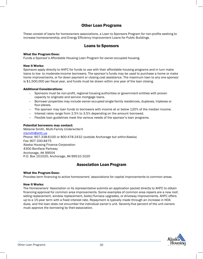# Other Loan Programs

These consist of loans for homeowners associations, a Loan to Sponsors Program for non-profits seeking to increase homeownership, and Energy Efficiency Improvement Loans for Public Buildings.

# Loans to Sponsors

#### What the Program Does:

Funds a Sponsor's Affordable Housing Loan Program for owner-occupied housing.

## How it Works:

Sponsors apply directly to AHFC for funds to use with their affordable housing programs and in turn make loans to low- to moderate-income borrowers. The sponsor's funds may be used to purchase a home or make home improvements, or for down payment or closing cost assistance. The maximum loan to any one sponsor is \$1,500,000 per fiscal year, and funds must be drawn within one year of the loan closing.

## Additional Considerations:

- Sponsors must be non-profit, regional housing authorities or government entities with proven capacity to originate and service mortgage loans.
- − Borrower properties may include owner-occupied single-family residences, duplexes, triplexes or four-plexes.
- − The sponsor may loan funds to borrowers with income at or below 120% of the median income.
- − Interest rates range from 2.5% to 3.5% depending on the amount borrowed.
- Flexible loan guidelines meet the various needs of the sponsor's loan programs.

## Potential borrowers may contact:

Melanie Smith, Multi-Family UnderwriterII [msmith@ahfc.us](mailto:msmith@ahfc.us) Phone: 907-338-6100 or 800-478-2432 (outside Anchorage but withinAlaska) Fax: 907-330-8475 Alaska Housing Finance Corporation 4300 Boniface Parkway Anchorage, AK 99504 P.O. Box 101020, Anchorage, AK 99510-1020

# Association Loan Program

#### What the Program Does:

Provides term financing to active homeowners' associations for capital improvements to common areas.

## How it Works:

The Homeowners' Association or its representative submits an application packet directly to AHFC to obtain financing approval for common area improvements. Some examples of common area repairs are a new roof, siding replacement, window replacement, boiler/furnace upgrades, or driveway improvements. AHFC offers up to a 15-year term with a fixed interest rate. Repayment is typically made through an increase in HOA dues, and the loan does not encumber the individual owner's unit. Seventy-five percent of the unit owners must approve the borrowing by their association.

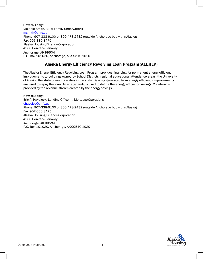How to Apply: Melanie Smith, Multi-Family UnderwriterII [msmith@ahfc.us](mailto:msmith@ahfc.us) Phone: 907-338-6100 or 800-478-2432 (outside Anchorage but withinAlaska) Fax: 907-330-8475 Alaska Housing Finance Corporation 4300 Boniface Parkway Anchorage, AK 99504 P.O. Box 101020, Anchorage, AK99510-1020

# Alaska Energy Efficiency Revolving Loan Program(AEERLP)

The Alaska Energy Efficiency Revolving Loan Program provides financing for permanent energy-efficient improvements to buildings owned by School Districts, regional educational attendance areas, the University of Alaska, the state or municipalities in the state. Savings generated from energy efficiency improvements are used to repay the loan. An energy audit is used to define the energy efficiency savings. Collateral is provided by the revenue stream created by the energy savings.

How to Apply: Eric A. Havelock, Lending Officer II, Mortgage Operations [ehaveloc@ahfc.us](mailto:ehaveloc@ahfc.us) Phone: 907-338-6100 or 800-478-2432 (outside Anchorage but withinAlaska) Fax: 907-330-8475 Alaska Housing Finance Corporation 4300 Boniface Parkway Anchorage, AK 99504 P.O. Box 101020, Anchorage, AK99510-1020

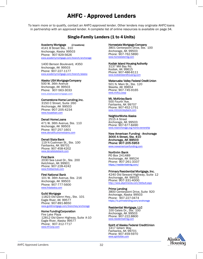# AHFC - Approved Lenders

To learn more or to qualify, contact an AHFC-approved lender. Other lenders may originate AHFCloans in partnership with an approved lender. A complete list of online resources is available on page 34.

## Single-Family Lenders (1 to 4 Units)

#### Academy Mortgage (2 locations)

4141 B Street Ste., 310 Anchorage, Alaska 99503 Phone: 907-929-5626 [www.academymortgage.com/bra](http://www.academymortgage.com/branch/anchorage)nch/anchorage

1400 Benson Boulevard, #350 Anchorage, AK 99503 Phone: 907-227-1177 [www.academymortgage.com](http://www.academymortgage.com/branch/alaska)/branch/alaska

#### Alaska USA Mortgage Company

500 W. 36th Avenue Anchorage, AK 99503 Phone: 907-563-3033 [www.alaskausamortg](http://www.alaskausamortgage.com/)age.com

#### Cornerstone Home Lending, Inc.

3150 C Street, Suite 260 Anchorage, AK 99503 Phone: 907-205-4234 [www](http://www.houseloan.com/).houseloan.com

#### Denali Home Loans

471 W. 36th Avenue, Ste. 110 Anchorage, AK 99503 Phone: 907-257-1601 www.denalifcuhomeloans.com

#### Denali State Bank

119 N Cushman St., Ste. 100 Fairbanks, AK 99701 Phone: 907-458-4202 www.denalistatebank.com

#### [First Ban](http://www.denalistatebank.com/)k

2030 Sea Level Dr., Ste. 200 Ketchikan, AK 99901 Phone: 907-228-4242 www.firstbankak.com

#### [First](http://www.firstbankak.com/) National Bank

101 W. 36th Avenue, Ste. 216 Anchorage, AK 99503 Phone: 907-777-5600 www.fnbalaska.com

#### [Gui](http://www.fnbalaska.com/)ld Mortgage

11823 Old Glenn Hwy., Ste. 101 Eagle River, AK 99577 Phone: 907-891-8650 www.guildmortgage.com/branches/anchorage

#### [Home Funding Corporatio](http://www.guildmortgage.com/branches/anchorage)n

Fire Lake Plaza 12812 Old Glenn Highway, Suite A-10 Eagle River, Alaska 99577 Phone: 907-312-7717 www.hf-Corp.com

#### Homestate Mortgage Company

3801 Centerpoint Drive, Ste. 100 Anchorage, AK 99503 Phone: 907-762.5890 [www.homestatemtg.](http://www.homestatemtg.com/)com

#### Kodiak Island Housing Authority

3137 Mill Bay Rd. Kodiak, AK 99615 Phone: 907-486-8111 wislandhousing

#### Matanuska Valley Federal Credit Union

501 N. Main St., Ste. 120 Wasilla, AK 99654 Phone: 907-745-9165 [www.mvfcu.](http://www.mvfcu.coop/)coop

#### Mt. McKinley Bank

500 Fourth Ave. Fairbanks, AK 99707 Phone: 907-452-1751 [www.mtmckinleybank](http://www.mtmckinleybank.com/).com

#### NeighborWorks Alaska

2515 A Street Anchorage, AK 99503 Phone: 907-677-8490 [www.nwanchorage.org/home-owner](http://www.nwanchorage.org/home-ownership)ship

#### New American Funding - Anchorage 3000 A Street, Ste. 410 Anchorage, AK 99503 Phone: 907-205-5953 www.newamericanfunding.com

#### Northrim Bank

PO Box 241489 Anchorage, AK 99524 Phone: 907-261-3337 [https://residentialmtg.com/](http://www.akprimeres.com/Default.aspx)

#### Primary Residential Mortgage, Inc.

4240 Old Seward Highway, Suite 12 Anchorage, AK 99503 Phone: 907-331-4000 http://www.akprimeres.com/Default.aspx

#### Prime Lending

3800 Centerpoint Drive, Suite 920 Anchorage, Alaska 99503 Phone: 907-227-0474 [https://lo.primelend](http://www.residentialmtg.com/)ing.com/anchorage

#### Residential Mortgage, LLC

100 Calais Dr., Ste. 100 Anchorage, AK 99503 Phone: 907-222.8800 [www.residentia](http://www.spiritofak.com/)lmtg.com

#### Spirit of Alaska Federal Credit Union

1417 Gillam Way Fairbanks, AK 99701 Phone: 907-459-5970 www.spiritofak.com

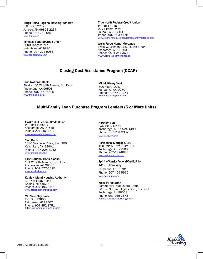#### Tlingit-Haida Regional Housing Authority

P.O. Box 32237 Juneau, AK 99803-2237 Phone: 907-780-6868 [www.thrha.org](http://www.thrha.org/)

Tongass Federal Credit Union 2000 Tongass Ave. Ketchikan, AK 99901 Phone: 907-225-9063 [www.tongassfcu.com/](http://www.tongassfcu.com/)

## True North Federal Credit Union

P.O. Box 34157 2777 Postal Way Juneau, AK 99803 Phone: 907-523-4778 [www.truenorthfcu.org/servlet/content/mortgage.html](http://www.truenorthfcu.org/servlet/content/mortgage.html)

#### Wells Fargo Home Mortgage

1500 W. Benson Blvd., Fourth Floor Anchorage, AK 99503 Phone: (907) 257-3600 [www.wellsfargo.com/mortgage](http://www.wellsfargo.com/mortgage)

## Closing Cost Assistance Program (CCAP)

#### First National Bank

Alaska 101 W 36th Avenue, 3rd Floor Anchorage, AK 99503 Phone: 907-777-5625 [www.fnbalaska.com](http://www.fnbalaska.com/)

Mt. McKinley Bank 500 Fourth Ave. Fairbanks, AK 99707 Phone: 907-452-1751 [www.mtmckinleybank.com](http://www.mtmckinleybank.com/)

## Multi-Family Loan Purchase Program Lenders (5 or MoreUnits)

#### Alaska USA Federal Credit Union

P.O. Box 196613 Anchorage, AK 99519 Phone: 907-786-2777 [www.alaskausamortgage.com](http://www.alaskausamortgage.com/)

#### First Bank

2030 Sea Level Drive, Ste. 200 Ketchikan, AK 99901 Phone: 907-228-4242 [www.firstbankak.com](http://www.firstbankak.com/)

#### First National Bank Alaska

101 W 36th Avenue, 3rd Floor Anchorage, AK 99503 Phone: 907-777-5625 [www.fnbalaska.com](http://www.fnbalaska.com/)

#### Kodiak Island Housing Authority

3137 Mill Bay Road Kodiak, AK 99615 Phone: 907-486-8111 [www.kodiakislandhousing.com](http://www.kodiakislandhousing.com/)

#### Mt. McKinley Bank

P.O. Box 73880 Fairbanks, AK 99707 Phone: 907-452-1751 .com

#### Northrim Bank

P.O. Box 241489 Anchorage, AK 99524-1489 Phone: 907-261-3337 [www.northrim.com](http://www.northrim.com/)

#### Residential Mortgage, LLC

100 Calais Drive, Suite 100 Anchorage, AK 99503 Phone: 907-222-8800 [www.residentialmtg.com](http://www.residentialmtg.com/)

#### Spirit of Alaska Federal Credit Union

1417 Gillam Way Fairbanks, AK 99701 Phone: 907-459-5970 [www.spiritofak.com](http://www.spiritofak.com/)

#### Wells Fargo Bank

Commercial Real Estate Group 301 W. Northern Lights Blvd., Ste. 201 Anchorage, AK 99503 Phone: 907-265-2878 [Patricia.L.Bozzo@Wellsfargo.com](mailto:Patricia.L.Bozzo@Wellsfargo.com)

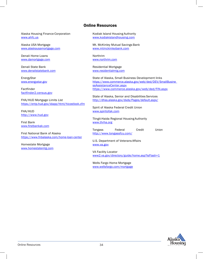## Online Resources

Alaska Housing Finance Corporation [www.ahfc.us](http://www.ahfc.us/)

Alaska USA Mortgage [www.alaskausamortgage.com](http://www.alaskausamortgage.com/)

Denali Home Loans [www.damortgage.com](http://www.damortgage.com/)

Denali State Bank [www.denalistatebank.com](http://www.denalistatebank.com/)

EnergyStar [www.energystar.gov](http://www.energystar.gov/)

Factfinder factfinder2.census.gov

FHA/HUD Mortgage Limits List https://entp.hud.gov/idapp/html/hicostlook.cfm

FHA/HUD [http://www.hud.gov](http://www.hud.gov/)

First Bank [www.firstbankak.com](http://www.firstbankak.com/)

First National Bank of Alaska [https://www.fnbalaska.com/hom](http://www.fnbalaska.com/home-loan-center)e-loan[-center](http://www.fnbalaska.com/home-loan-center)

Homestate Mortgage [www.homestatemtg.com](http://www.homestatemtg.com/)

Kodiak Island Housing Authority [www.kodiakislandhousing.com](http://www.kodiakislandhousing.com/)

Mt. McKinley Mutual Savings Bank [www.mtmckinleybank.com](http://www.mtmckinleybank.com/)

Northrim [www.northrim.com](http://www.northrim.com/)

Residential Mortgage [www.residentialmtg.com](http://www.residentialmtg.com/)

State of Alaska, Small Business Development links https:/[/www.commerce.alaska.gov/web/ded/DEV/SmallBusine](http://www.commerce.alaska.gov/web/ded/DEV/SmallBusine) ssAssistanceCenter.aspx https:[//www.commerce.alaska.gov/web/ded/FIN.aspx](http://www.commerce.alaska.gov/web/ded/FIN.aspx)

State of Alaska, Senior and Disabilities Services <http://dhss.alaska.gov/dsds/Pages/default.aspx/>

Spirit of Alaska Federal Credit Union [www.spiritofak.com](http://www.spiritofak.com/)

Tlingit-Haida Regional Housing Authority [www.thrha.org](http://www.thrha.org/)

Tongass Federal Credit Union <http://www.tongassfcu.com/>

U.S. Department of Veterans Affairs [www.va.gov](http://www.va.gov/)

VA Facility Locator www2.va.gov/directory/guide/home.asp?isFlash=1

Wells Fargo Home Mortgage [www.wellsfargo.com/mortgage](http://www.wellsfargo.com/mortgage)